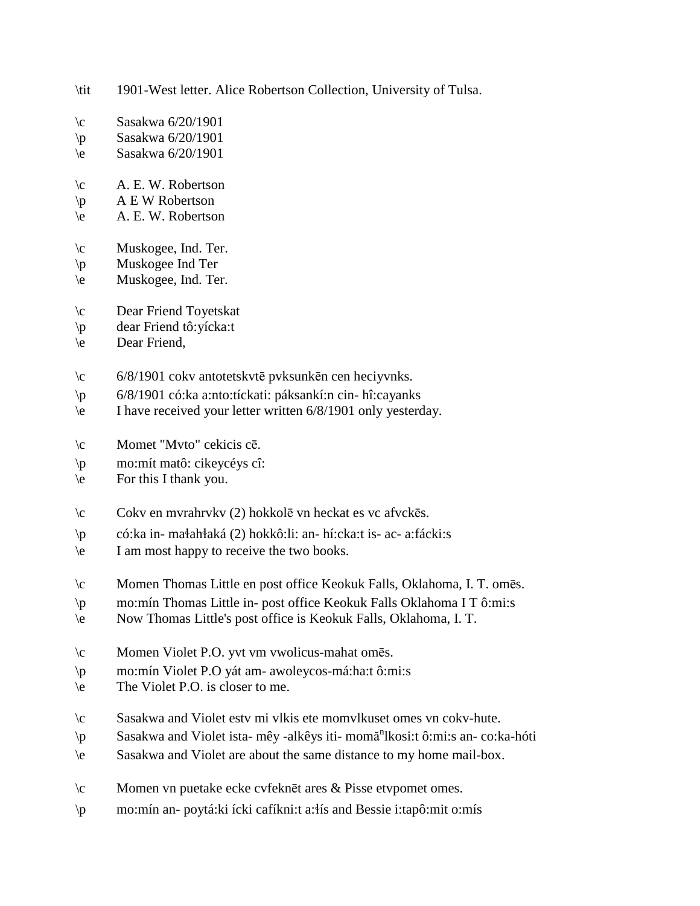- \tit 1901-West letter. Alice Robertson Collection, University of Tulsa.
- \c Sasakwa 6/20/1901
- \p Sasakwa 6/20/1901
- \e Sasakwa 6/20/1901
- \c A. E. W. Robertson
- $\mathbf{p}$  A E W Robertson
- \e A. E. W. Robertson
- \c Muskogee, Ind. Ter.
- \p Muskogee Ind Ter
- \e Muskogee, Ind. Ter.
- \c Dear Friend Toyetskat
- \p dear Friend tô:yícka:t
- \e Dear Friend,
- \c 6/8/1901 cokv antotetskvtē pvksunkēn cen heciyvnks.
- \p 6/8/1901 có:ka a:nto:tíckati: páksankí:n cin- hî:cayanks
- \e I have received your letter written 6/8/1901 only yesterday.
- \c Momet "Mvto" cekicis cē.
- \p mo:mít matô: cikeycéys cî:
- \e For this I thank you.
- \c Cokv en mvrahrvkv (2) hokkolē vn heckat es vc afvckēs.
- $\wp$  có:ka in- małahłaká (2) hokkô:li: an- hí:cka:t is- ac- a:fácki:s
- \e I am most happy to receive the two books.
- \c Momen Thomas Little en post office Keokuk Falls, Oklahoma, I. T. omēs.
- \p mo:mín Thomas Little in- post office Keokuk Falls Oklahoma I T ô:mi:s
- \e Now Thomas Little's post office is Keokuk Falls, Oklahoma, I. T.
- \c Momen Violet P.O. yvt vm vwolicus-mahat omēs.
- \p mo:mín Violet P.O yát am- awoleycos-má:ha:t ô:mi:s
- \e The Violet P.O. is closer to me.
- \c Sasakwa and Violet estv mi vlkis ete momvlkuset omes vn cokv-hute.
- \p Sasakwa and Violet ista- mêy -alkêys iti- momă<sup>n</sup>lkosi:t ô:mi:s an- co:ka-hóti
- \e Sasakwa and Violet are about the same distance to my home mail-box.
- \c Momen vn puetake ecke cvfeknēt ares & Pisse etvpomet omes.
- \p mo:mín an- poytá:ki ícki cafíkni:t a:!ís and Bessie i:tapô:mit o:mís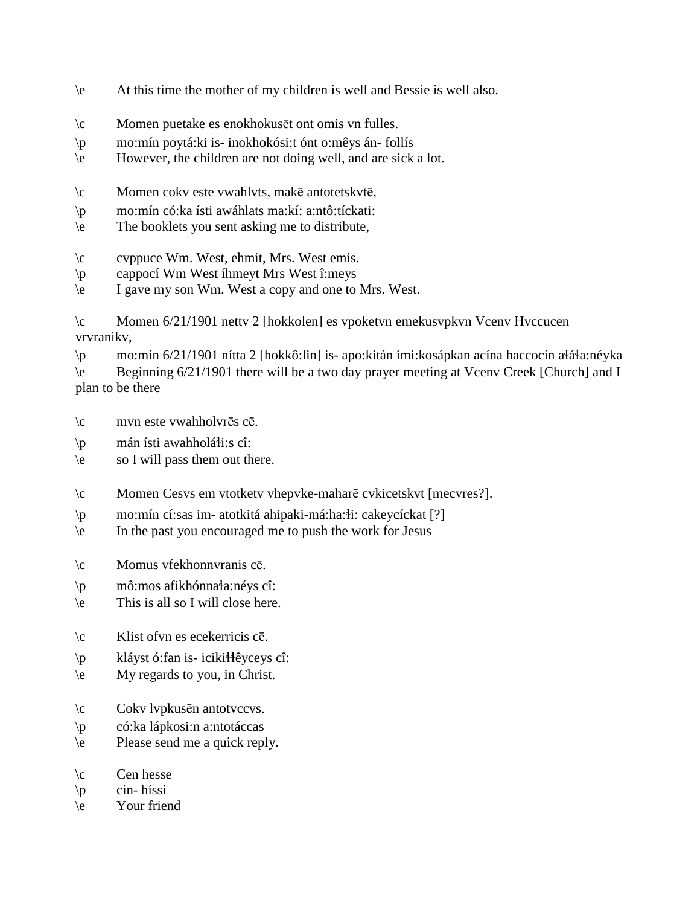- \e At this time the mother of my children is well and Bessie is well also.
- \c Momen puetake es enokhokusēt ont omis vn fulles.
- \p mo:mín poytá:ki is- inokhokósi:t ónt o:mêys án- follís
- \e However, the children are not doing well, and are sick a lot.
- \c Momen cokv este vwahlvts, makē antotetskvtē,
- \p mo:mín có:ka ísti awáhlats ma:kí: a:ntô:tíckati:
- \e The booklets you sent asking me to distribute,
- \c cvppuce Wm. West, ehmit, Mrs. West emis.
- \p cappocí Wm West íhmeyt Mrs West î:meys
- \e I gave my son Wm. West a copy and one to Mrs. West.

\c Momen 6/21/1901 nettv 2 [hokkolen] es vpoketvn emekusvpkvn Vcenv Hvccucen vrvranikv,

 $\pi$  mo:mín 6/21/1901 nítta 2 [hokkô:lin] is- apo:kitán imi:kosápkan acína haccocín ałáła:néyka \e Beginning 6/21/1901 there will be a two day prayer meeting at Vcenv Creek [Church] and I plan to be there

- \c mvn este vwahholvrēs cē.
- $\pi$  mán ísti awahholáti:s cî:
- \e so I will pass them out there.
- \c Momen Cesvs em vtotketv vhepvke-maharē cvkicetskvt [mecvres?].
- \p mo:mín cí:sas im- atotkitá ahipaki-má:ha:!i: cakeycíckat [?]
- \e In the past you encouraged me to push the work for Jesus
- \c Momus vfekhonnvranis cē.
- $\pi$  mô:mos afikhónna $a$ :néys cî:
- \e This is all so I will close here.
- \c Klist ofvn es ecekerricis cē.
- \p kláyst ó:fan is- iciki!!êyceys cî:
- \e My regards to you, in Christ.
- \c Cokv lvpkusēn antotvccvs.
- \p có:ka lápkosi:n a:ntotáccas
- \e Please send me a quick reply.
- $\c$  Cen hesse
- \p cin- híssi
- \e Your friend